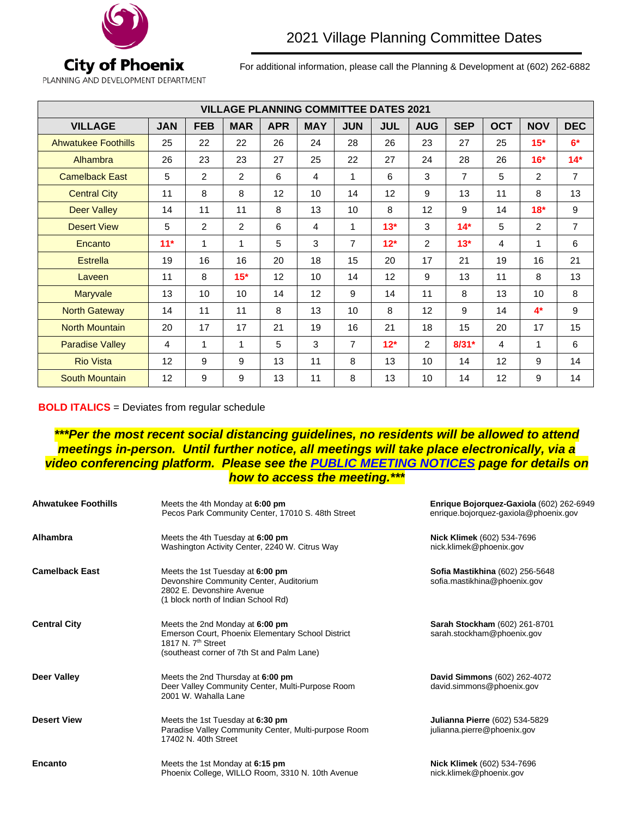

For additional information, please call the Planning & Development at (602) 262-6882

PLANNING AND DEVELOPMENT DEPARTMENT

| <b>VILLAGE PLANNING COMMITTEE DATES 2021</b> |            |                |             |            |                 |                |            |                |                |            |                |                |
|----------------------------------------------|------------|----------------|-------------|------------|-----------------|----------------|------------|----------------|----------------|------------|----------------|----------------|
| <b>VILLAGE</b>                               | <b>JAN</b> | <b>FEB</b>     | <b>MAR</b>  | <b>APR</b> | <b>MAY</b>      | <b>JUN</b>     | <b>JUL</b> | <b>AUG</b>     | <b>SEP</b>     | <b>OCT</b> | <b>NOV</b>     | <b>DEC</b>     |
| <b>Ahwatukee Foothills</b>                   | 25         | 22             | 22          | 26         | 24              | 28             | 26         | 23             | 27             | 25         | $15*$          | $6*$           |
| Alhambra                                     | 26         | 23             | 23          | 27         | 25              | 22             | 27         | 24             | 28             | 26         | $16*$          | $14*$          |
| <b>Camelback East</b>                        | 5          | $\overline{2}$ | 2           | 6          | 4               | 1              | 6          | 3              | $\overline{7}$ | 5          | 2              | $\overline{7}$ |
| <b>Central City</b>                          | 11         | 8              | 8           | 12         | 10 <sup>1</sup> | 14             | 12         | 9              | 13             | 11         | 8              | 13             |
| <b>Deer Valley</b>                           | 14         | 11             | 11          | 8          | 13              | 10             | 8          | 12             | 9              | 14         | $18*$          | 9              |
| <b>Desert View</b>                           | 5          | 2              | 2           | 6          | 4               | 1              | $13*$      | 3              | $14*$          | 5          | $\overline{2}$ | $\overline{7}$ |
| Encanto                                      | $11*$      | $\mathbf 1$    | $\mathbf 1$ | 5          | 3               | $\overline{7}$ | $12*$      | $\overline{2}$ | $13*$          | 4          | 1              | 6              |
| <b>Estrella</b>                              | 19         | 16             | 16          | 20         | 18              | 15             | 20         | 17             | 21             | 19         | 16             | 21             |
| Laveen                                       | 11         | 8              | $15*$       | 12         | 10 <sup>°</sup> | 14             | 12         | 9              | 13             | 11         | 8              | 13             |
| <b>Maryvale</b>                              | 13         | 10             | 10          | 14         | 12              | 9              | 14         | 11             | 8              | 13         | 10             | 8              |
| <b>North Gateway</b>                         | 14         | 11             | 11          | 8          | 13              | 10             | 8          | 12             | 9              | 14         | $4*$           | 9              |
| <b>North Mountain</b>                        | 20         | 17             | 17          | 21         | 19              | 16             | 21         | 18             | 15             | 20         | 17             | 15             |
| <b>Paradise Valley</b>                       | 4          | 1              | 1           | 5          | 3               | 7              | $12*$      | 2              | $8/31*$        | 4          | 1              | 6              |
| <b>Rio Vista</b>                             | 12         | 9              | 9           | 13         | 11              | 8              | 13         | 10             | 14             | 12         | 9              | 14             |
| <b>South Mountain</b>                        | 12         | 9              | 9           | 13         | 11              | 8              | 13         | 10             | 14             | 12         | 9              | 14             |

## **BOLD ITALICS** = Deviates from regular schedule

*\*\*\*Per the most recent social distancing guidelines, no residents will be allowed to attend meetings in-person. Until further notice, all meetings will take place electronically, via a video conferencing platform. Please see the [PUBLIC MEETING NOTICES](https://www.phoenix.gov/cityclerk/publicmeetings/notices) page for details on how to access the meeting.\*\*\**

| <b>Ahwatukee Foothills</b> | Meets the 4th Monday at 6:00 pm<br>Pecos Park Community Center, 17010 S. 48th Street                                                                                 | Enrique Bojorquez-Gaxiola (602) 262-6949<br>enrique.bojorquez-gaxiola@phoenix.gov |
|----------------------------|----------------------------------------------------------------------------------------------------------------------------------------------------------------------|-----------------------------------------------------------------------------------|
| Alhambra                   | Meets the 4th Tuesday at 6:00 pm<br>Washington Activity Center, 2240 W. Citrus Way                                                                                   | Nick Klimek (602) 534-7696<br>nick.klimek@phoenix.gov                             |
| <b>Camelback East</b>      | Meets the 1st Tuesday at 6:00 pm<br>Devonshire Community Center, Auditorium<br>2802 E. Devonshire Avenue<br>(1 block north of Indian School Rd)                      | Sofia Mastikhina (602) 256-5648<br>sofia.mastikhina@phoenix.gov                   |
| <b>Central City</b>        | Meets the 2nd Monday at 6:00 pm<br>Emerson Court, Phoenix Elementary School District<br>1817 N. 7 <sup>th</sup> Street<br>(southeast corner of 7th St and Palm Lane) | Sarah Stockham (602) 261-8701<br>sarah.stockham@phoenix.gov                       |
| <b>Deer Valley</b>         | Meets the 2nd Thursday at 6:00 pm<br>Deer Valley Community Center, Multi-Purpose Room<br>2001 W. Wahalla Lane                                                        | David Simmons (602) 262-4072<br>david.simmons@phoenix.gov                         |
| <b>Desert View</b>         | Meets the 1st Tuesday at 6:30 pm<br>Paradise Valley Community Center, Multi-purpose Room<br>17402 N. 40th Street                                                     | Julianna Pierre (602) 534-5829<br>julianna.pierre@phoenix.gov                     |
| Encanto                    | Meets the 1st Monday at 6:15 pm<br>Phoenix College, WILLO Room, 3310 N. 10th Avenue                                                                                  | <b>Nick Klimek</b> (602) 534-7696<br>nick.klimek@phoenix.gov                      |